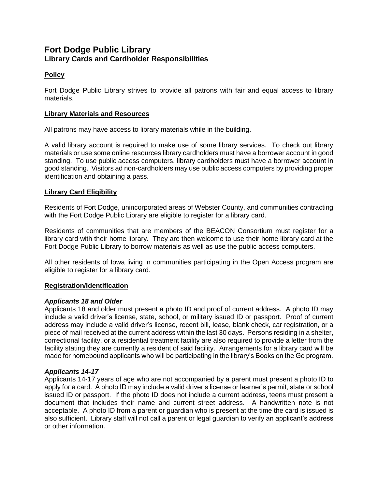# **Fort Dodge Public Library Library Cards and Cardholder Responsibilities**

# **Policy**

Fort Dodge Public Library strives to provide all patrons with fair and equal access to library materials.

## **Library Materials and Resources**

All patrons may have access to library materials while in the building.

A valid library account is required to make use of some library services. To check out library materials or use some online resources library cardholders must have a borrower account in good standing. To use public access computers, library cardholders must have a borrower account in good standing. Visitors ad non-cardholders may use public access computers by providing proper identification and obtaining a pass.

#### **Library Card Eligibility**

Residents of Fort Dodge, unincorporated areas of Webster County, and communities contracting with the Fort Dodge Public Library are eligible to register for a library card.

Residents of communities that are members of the BEACON Consortium must register for a library card with their home library. They are then welcome to use their home library card at the Fort Dodge Public Library to borrow materials as well as use the public access computers.

All other residents of Iowa living in communities participating in the Open Access program are eligible to register for a library card.

#### **Registration/Identification**

#### *Applicants 18 and Older*

Applicants 18 and older must present a photo ID and proof of current address. A photo ID may include a valid driver's license, state, school, or military issued ID or passport. Proof of current address may include a valid driver's license, recent bill, lease, blank check, car registration, or a piece of mail received at the current address within the last 30 days. Persons residing in a shelter, correctional facility, or a residential treatment facility are also required to provide a letter from the facility stating they are currently a resident of said facility. Arrangements for a library card will be made for homebound applicants who will be participating in the library's Books on the Go program.

#### *Applicants 14-17*

Applicants 14-17 years of age who are not accompanied by a parent must present a photo ID to apply for a card. A photo ID may include a valid driver's license or learner's permit, state or school issued ID or passport. If the photo ID does not include a current address, teens must present a document that includes their name and current street address. A handwritten note is not acceptable. A photo ID from a parent or guardian who is present at the time the card is issued is also sufficient. Library staff will not call a parent or legal guardian to verify an applicant's address or other information.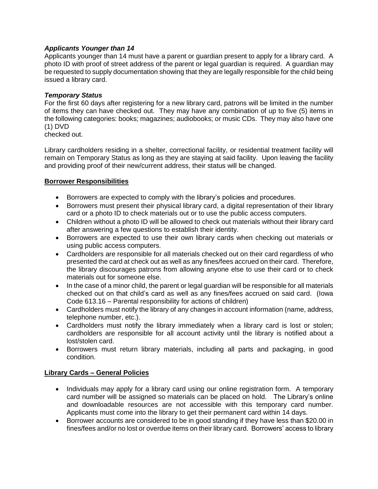## *Applicants Younger than 14*

Applicants younger than 14 must have a parent or guardian present to apply for a library card. A photo ID with proof of street address of the parent or legal guardian is required. A guardian may be requested to supply documentation showing that they are legally responsible for the child being issued a library card.

#### *Temporary Status*

For the first 60 days after registering for a new library card, patrons will be limited in the number of items they can have checked out. They may have any combination of up to five (5) items in the following categories: books; magazines; audiobooks; or music CDs. They may also have one (1) DVD

checked out.

Library cardholders residing in a shelter, correctional facility, or residential treatment facility will remain on Temporary Status as long as they are staying at said facility. Upon leaving the facility and providing proof of their new/current address, their status will be changed.

#### **Borrower Responsibilities**

- Borrowers are expected to comply with the library's policies and procedures.
- Borrowers must present their physical library card, a digital representation of their library card or a photo ID to check materials out or to use the public access computers.
- Children without a photo ID will be allowed to check out materials without their library card after answering a few questions to establish their identity.
- Borrowers are expected to use their own library cards when checking out materials or using public access computers.
- Cardholders are responsible for all materials checked out on their card regardless of who presented the card at check out as well as any fines/fees accrued on their card. Therefore, the library discourages patrons from allowing anyone else to use their card or to check materials out for someone else.
- In the case of a minor child, the parent or legal guardian will be responsible for all materials checked out on that child's card as well as any fines/fees accrued on said card. (Iowa Code 613.16 – Parental responsibility for actions of children)
- Cardholders must notify the library of any changes in account information (name, address, telephone number, etc.).
- Cardholders must notify the library immediately when a library card is lost or stolen; cardholders are responsible for all account activity until the library is notified about a lost/stolen card.
- Borrowers must return library materials, including all parts and packaging, in good condition.

#### **Library Cards – General Policies**

- Individuals may apply for a library card using our online registration form. A temporary card number will be assigned so materials can be placed on hold. The Library's online and downloadable resources are not accessible with this temporary card number. Applicants must come into the library to get their permanent card within 14 days.
- Borrower accounts are considered to be in good standing if they have less than \$20.00 in fines/fees and/or no lost or overdue items on their library card. Borrowers' access to library